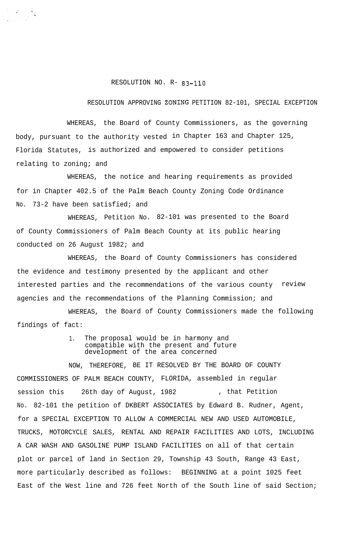## RESOLUTION NO. R- 83-110

## RESOLUTION APPROVING ZONING PETITION 82-101, SPECIAL EXCEPTION

WHEREAS, the Board of County Commissioners, as the governing body, pursuant to the authority vested in Chapter 163 and Chapter 125, Florida Statutes, is authorized and empowered to consider petitions relating to zoning; and

WHEREAS, the notice and hearing requirements as provided for in Chapter 402.5 of the Palm Beach County Zoning Code Ordinance No. 73-2 have been satisfied; and

WHEREAS, Petition No. 82-101 was presented to the Board of County Commissioners of Palm Beach County at its public hearing conducted on 26 August 1982; and

WHEREAS, the Board of County Commissioners has considered the evidence and testimony presented by the applicant and other interested parties and the recommendations of the various county review agencies and the recommendations of the Planning Commission; and

WHEREAS, the Board of County Commissioners made the following findings of fact:

> 1. The proposal would be in harmony and compatible with the present and future development of the area concerned

NOW, THEREFORE, BE IT RESOLVED BY THE BOARD OF COUNTY COMMISSIONERS OF PALM BEACH COUNTY, FLORIDA, assembled in regular session this 26th day of August, 1982 . That Petition No. 82-101 the petition of DKBERT ASSOCIATES by Edward B. Rudner, Agent, for a SPECIAL EXCEPTION TO ALLOW A COMMERCIAL NEW AND USED AUTOMOBILE, TRUCKS, MOTORCYCLE SALES, RENTAL AND REPAIR FACILITIES AND LOTS, INCLUDING A CAR WASH AND GASOLINE PUMP ISLAND FACILITIES on all of that certain plot or parcel of land in Section 29, Township 43 South, Range 43 East, more particularly described as follows: BEGINNING at a point 1025 feet East of the West line and 726 feet North of the South line of said Section;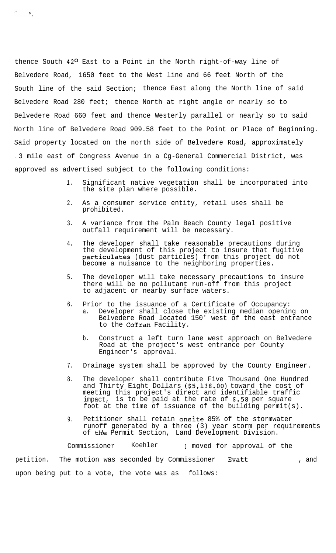thence South 42<sup>0</sup> East to a Point in the North right-of-way line of Belvedere Road, 1650 feet to the West line and 66 feet North of the South line of the said Section; thence East along the North line of said Belvedere Road 280 feet; thence North at right angle or nearly so to Belvedere Road 660 feet and thence Westerly parallel or nearly so to said North line of Belvedere Road 909.58 feet to the Point or Place of Beginning. Said property located on the north side of Belvedere Road, approximately . 3 mile east of Congress Avenue in a Cg-General Commercial District, was approved as advertised subject to the following conditions:

 $\mathcal{F}_{\mathcal{A}}$ 

- 1. Significant native vegetation shall be incorporated into the site plan where possible.
- 2. As a consumer service entity, retail uses shall be prohibited.
- 3. A variance from the Palm Beach County legal positive outfall requirement will be necessary.
- 4. The developer shall take reasonable precautions during the development of this project to insure that fugitive particulates (dust particles) from this project do not become a nuisance to the neighboring properties.
- 5. The developer will take necessary precautions to insure there will be no pollutant run-off from this project to adjacent or nearby surface waters.
- 6. Prior to the issuance of a Certificate of Occupancy: a. Developer shall close the existing median opening on Belvedere Road located 150' west of the east entrance to the CoTran Facility.
	- b. Construct a left turn lane west approach on Belvedere Road at the project's west entrance per County Engineer's approval.
- 7. Drainage system shall be approved by the County Engineer.
- 8. The developer shall contribute Five Thousand One Hundred and Thirty Eight Dollars (\$5,138.00) toward the cost of meeting this project's direct and identifiable traffic impact, is to be paid at the rate of \$.58 per square foot at the time of issuance of the building permit(s).
- 9. Petitioner shall retain onsite 85% of the stormwater runoff generated by a three (3) year storm per requirements of the Permit Section, Land Development Division.

Commissioner Koehler I moved for approval of the petition. The motion was seconded by Commissioner Evatt (and ), and upon being put to a vote, the vote was as follows: